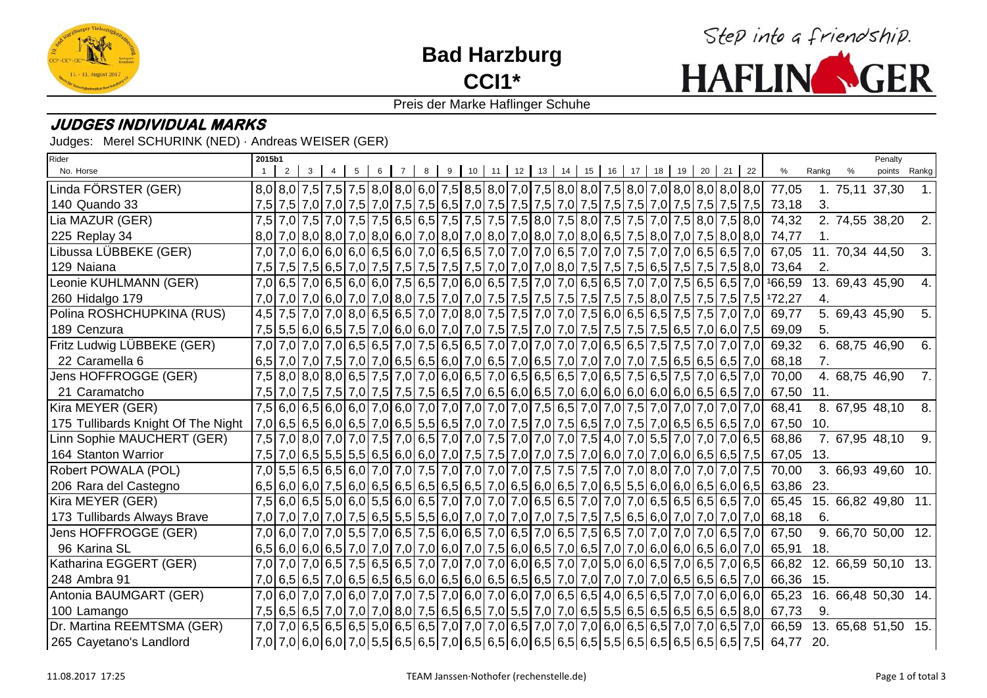

**Bad Harzburg CCI1\***



### Preis der Marke Haflinger Schuhe

## **JUDGES INDIVIDUAL MARKS**

Judges: Merel SCHURINK (NED) · Andreas WEISER (GER)

| Rider                              | 2015b1 |   |  |   |   |                |   |   |  |  |  |                      |    |                                                                                                                                                                                                                                 |  |                                                                                                                                                                                                                                |                                                                                                                                                                                                                                              |       |                 | Penalty                   |                |
|------------------------------------|--------|---|--|---|---|----------------|---|---|--|--|--|----------------------|----|---------------------------------------------------------------------------------------------------------------------------------------------------------------------------------------------------------------------------------|--|--------------------------------------------------------------------------------------------------------------------------------------------------------------------------------------------------------------------------------|----------------------------------------------------------------------------------------------------------------------------------------------------------------------------------------------------------------------------------------------|-------|-----------------|---------------------------|----------------|
| No. Horse                          |        | 2 |  | 5 | 6 | $\overline{7}$ | 8 | 9 |  |  |  | 10 11 12 13 14 15 16 | 17 | 18 19 20 21 22                                                                                                                                                                                                                  |  |                                                                                                                                                                                                                                | %                                                                                                                                                                                                                                            | Rankg | %               | points Rankg              |                |
| Linda FÖRSTER (GER)                |        |   |  |   |   |                |   |   |  |  |  |                      |    |                                                                                                                                                                                                                                 |  |                                                                                                                                                                                                                                | 77,05                                                                                                                                                                                                                                        |       | 1. 75,11 37,30  |                           |                |
| 140 Quando 33                      |        |   |  |   |   |                |   |   |  |  |  |                      |    |                                                                                                                                                                                                                                 |  | 7,5 7,5 7,6 7,6 7,6 7,6 7,6 7,6 7,5 6,5 7,0 7,5 7,5 7,5 7,6 7,6 7,5 7,5 7,5 7,5 7,5 7,5 7,5 7,5 7,5                                                                                                                            | 73,18                                                                                                                                                                                                                                        | 3.    |                 |                           |                |
| Lia MAZUR (GER)                    |        |   |  |   |   |                |   |   |  |  |  |                      |    | 7,5 7,0 7,5 7,0 7,5 7,5 6,5 6,5 7,5 7,5 7,5 7,5 8,0 7,5 8,0 7,5 7,5 7,0 7,5 8,0 7,5 8,0                                                                                                                                         |  |                                                                                                                                                                                                                                | 74,32                                                                                                                                                                                                                                        |       | 2. 74,55 38,20  |                           | 2.1            |
| 225 Replay 34                      |        |   |  |   |   |                |   |   |  |  |  |                      |    |                                                                                                                                                                                                                                 |  | 8,0 7,0 8,0 7,0 8,0 7,0 8,0 6,0 7,0 8,0 7,0 8,0 7,0 8,0 7,0 8,0 7,0 8,0 6,5 7,5 8,0 7,0 7,5 8,0 8,0                                                                                                                            | 74,77                                                                                                                                                                                                                                        | 1.    |                 |                           |                |
| Libussa LÜBBEKE (GER)              |        |   |  |   |   |                |   |   |  |  |  |                      |    | 7,0 7,0 6,0 6,0 6,0 6,0 6,5 6,0 7,0 6,5 6,5 7,0 7,0 7,0 6,5 7,0 7,0 7,0 7,5 7,0 7,0 6,5 6,5 7,0                                                                                                                                 |  |                                                                                                                                                                                                                                | 67,05                                                                                                                                                                                                                                        |       | 11. 70,34 44,50 |                           | 3.             |
| 129 Naiana                         |        |   |  |   |   |                |   |   |  |  |  |                      |    |                                                                                                                                                                                                                                 |  | 7,5 7,5 7,5 7,5 7,5 7,5 8,0 7,5 7,5 7,5 7,5 7,5 7,6 7,0 7,0 7,0 8,0 7,5 7,5 7,5 6,5 7,5 7,5 7,5 8,0                                                                                                                            | 73,64                                                                                                                                                                                                                                        | 2.    |                 |                           |                |
| Leonie KUHLMANN (GER)              |        |   |  |   |   |                |   |   |  |  |  |                      |    |                                                                                                                                                                                                                                 |  | 7,0 6,5 7,0 6,5 6,5 6,0 6,0 7,5 6,5 7,0 6,0 6,5 7,5 7,0 7,0 6,5 6,5 7,0 7,0 7,5 6,5 6,5 7,0                                                                                                                                    | 166,59                                                                                                                                                                                                                                       |       | 13. 69,43 45,90 |                           |                |
| 260 Hidalgo 179                    |        |   |  |   |   |                |   |   |  |  |  |                      |    |                                                                                                                                                                                                                                 |  |                                                                                                                                                                                                                                | 7,0 7,0 6,0 7,0 6,0 7,0 8,0 7,5 7,0 7,0 7,0 7,5 7,5 7,5 7,5 7,5 7,5 7,5 8,0 7,5 7,5 7,5 7,5 172,27                                                                                                                                           | 4.    |                 |                           |                |
| Polina ROSHCHUPKINA (RUS)          |        |   |  |   |   |                |   |   |  |  |  |                      |    | 4,5 7,5 7,0 7,0 8,0 6,5 6,5 7,0 7,0 8,0 7,5 7,5 7,0 7,0 7,5 6,0 6,5 6,5 7,5 7,5 7,0 7,0                                                                                                                                         |  |                                                                                                                                                                                                                                | 69,77                                                                                                                                                                                                                                        |       | 5. 69,43 45,90  |                           | 5 <sub>1</sub> |
| 189 Cenzura                        |        |   |  |   |   |                |   |   |  |  |  |                      |    |                                                                                                                                                                                                                                 |  |                                                                                                                                                                                                                                | 69,09                                                                                                                                                                                                                                        | 5.    |                 |                           |                |
| Fritz Ludwig LÜBBEKE (GER)         |        |   |  |   |   |                |   |   |  |  |  |                      |    | 7,0 7,0 7,0 7,0 6,5 6,5 7,0 7,5 6,5 6,5 7,0 7,0 7,0 7,0 7,0 6,5 6,5 7,5 7,5 7,0 7,0 7,0                                                                                                                                         |  |                                                                                                                                                                                                                                | 69,32                                                                                                                                                                                                                                        |       | 6. 68,75 46,90  |                           | 6.             |
| 22 Caramella 6                     |        |   |  |   |   |                |   |   |  |  |  |                      |    |                                                                                                                                                                                                                                 |  |                                                                                                                                                                                                                                | 68,18                                                                                                                                                                                                                                        | 7.    |                 |                           |                |
| Jens HOFFROGGE (GER)               |        |   |  |   |   |                |   |   |  |  |  |                      |    | 7,5 8,0 8,0 8,0 6,5 7,5 7,0 7,0 6,0 6,5 7,0 6,5 6,5 6,5 7,0 6,5 7,0 6,5 7,5 6,5 7,5 7,0 6,5 7,0                                                                                                                                 |  |                                                                                                                                                                                                                                | 70,00                                                                                                                                                                                                                                        |       | 4. 68,75 46,90  |                           | 7.             |
| 21 Caramatcho                      |        |   |  |   |   |                |   |   |  |  |  |                      |    |                                                                                                                                                                                                                                 |  | 7,5 7,0 7,5 7,5 7,6 7,0 7,5 7,5 7,5 7,5 6,5 7,0 6,5 6,0 6,5 7,0 6,0 6,0 6,0 6,0 6,0 6,0 6,5 6,5 7,0                                                                                                                            | 67,50                                                                                                                                                                                                                                        | 11.   |                 |                           |                |
| Kira MEYER (GER)                   |        |   |  |   |   |                |   |   |  |  |  |                      |    | 7,5 6,0 7,0 7,0 7,0 7,0 7,0 6,0 7,0 7,0 7,0 7,0 7,0 7,0 7,5 6,5 7,0 7,0 7,5 7,0 7,0 7,0 7,0 7,0 7,0 7                                                                                                                           |  |                                                                                                                                                                                                                                | 68,41                                                                                                                                                                                                                                        |       | 8. 67,95 48,10  |                           | 8.             |
| 175 Tullibards Knight Of The Night |        |   |  |   |   |                |   |   |  |  |  |                      |    | 7,0 6,5 6,5 6,5 6,6 7,0 6,5 7,0 6,5 6,5 6,5 7,0 7,0 7,5 7,0 7,5 6,5 7,0 7,5 7,0 6,5 6,5 6,5 6,5 7,0                                                                                                                             |  |                                                                                                                                                                                                                                | 67,50                                                                                                                                                                                                                                        | 10.   |                 |                           |                |
| Linn Sophie MAUCHERT (GER)         |        |   |  |   |   |                |   |   |  |  |  |                      |    | 7,5 7,0 8,0 7,0 7,0 7,0 7,5 7,0 6,5 7,0 7,0 7,5 7,0 7,0 7,0 7,0 7,5 4,0 7,0 5,5 7,0 7,0 7,0 6,5                                                                                                                                 |  |                                                                                                                                                                                                                                | 68,86                                                                                                                                                                                                                                        |       | 7. 67,95 48,10  |                           | 9.             |
| 164 Stanton Warrior                | 7,5    |   |  |   |   |                |   |   |  |  |  |                      |    | $\mid$ 7,0 $\mid$ 6,5 $\mid$ 5,5 $\mid$ 5,5 $\mid$ 6,5 $\mid$ 6,0 $\mid$ 6,0 $\mid$ 7,0 $\mid$ 7,5 $\mid$ 7,5 $\mid$ 7,0 $\mid$ 7,0 $\mid$ 7,0 $\mid$ 6,0 $\mid$ 7,0 $\mid$ 6,0 $\mid$ 6,5 $\mid$ 6,5 $\mid$ 7,5 $\mid$         |  |                                                                                                                                                                                                                                | 67,05                                                                                                                                                                                                                                        | 13.   |                 |                           |                |
| Robert POWALA (POL)                |        |   |  |   |   |                |   |   |  |  |  |                      |    | 7,0 5,5 6,5 6,5 6,0 7,0 7,0 7,5 7,0 7,0 7,0 7,0 7,0 7,5 7,5 7,5 7,0 7,0 8,0 7,0 7,0 7,0 7,0 7,5                                                                                                                                 |  |                                                                                                                                                                                                                                | 70,00                                                                                                                                                                                                                                        |       |                 | 3. 66,93 49,60 10.        |                |
| 206 Rara del Castegno              |        |   |  |   |   |                |   |   |  |  |  |                      |    |                                                                                                                                                                                                                                 |  | $ 6,5 6,0 6,0 7,5 6,0 6,5 6,5 6,5 6,5 6,5 7,0 6,5 6,0 6,5 7,0 6,5 5,5 6,0 6,0 6,5 6,0 6,5 $                                                                                                                                    | 63,86 23.                                                                                                                                                                                                                                    |       |                 |                           |                |
| Kira MEYER (GER)                   |        |   |  |   |   |                |   |   |  |  |  |                      |    | $7,5 6,0 6,5 5,0 6,0 5,5 6,0 6,5 7,0 7,0 7,0 7,0 6,5 6,5 7,0 7,0 6,5 6,5 6,5 6,5 7,0$                                                                                                                                           |  |                                                                                                                                                                                                                                | 65,45                                                                                                                                                                                                                                        |       |                 | 15. 66,82 49,80 11.       |                |
| 173 Tullibards Always Brave        |        |   |  |   |   |                |   |   |  |  |  |                      |    |                                                                                                                                                                                                                                 |  | 7,0 7,0 7,0 7,0 7,5 6,5 5,5 5,5 6,0 7,0 7,0 7,0 7,0 7,5 7,5 6,5 6,0 7,0 7,0 7,0 7,0                                                                                                                                            | 68,18                                                                                                                                                                                                                                        | 6.    |                 |                           |                |
| Jens HOFFROGGE (GER)               |        |   |  |   |   |                |   |   |  |  |  |                      |    | 7,0 6,0 7,0 7,0 5,5 7,0 6,5 7,5 6,0 6,5 7,0 6,5 7,0 6,5 7,0 6,5 7,5 6,5 7,0 7,0 7,0 7,0 6,5 7,0                                                                                                                                 |  |                                                                                                                                                                                                                                | 67,50                                                                                                                                                                                                                                        |       |                 | 9. 66,70 50,00 12.        |                |
| 96 Karina SL                       |        |   |  |   |   |                |   |   |  |  |  |                      |    |                                                                                                                                                                                                                                 |  | $6,5 6,0 6,0 6,5 7,0 7,0 7,0 7,0 6,0 7,0 7,5 6,0 6,5 7,0 6,5 7,0 7,0 6,0 6,0 6,5 6,0 7,0 7,0 8,0 7,0 8,0 7,0 8,0 7,0 8,0 7,0 8,0 7,0 8,0 7,0 8,0 7,0 8,0 7,0 8,0 7,0 8,0 7,0 8,0 7,0 8,0 7,0 8,0 7,0 8,0 7,0 8,0 7,0 8,0 7,0 $ | 65,91                                                                                                                                                                                                                                        | 18.   |                 |                           |                |
| Katharina EGGERT (GER)             |        |   |  |   |   |                |   |   |  |  |  |                      |    |                                                                                                                                                                                                                                 |  | 7,0 7,0 7,0 6,5 7,0 6,5 7,5 6,5 6,5 7,0 7,0 7,0 7,0 6,0 6,5 7,0 7,0 5,0 6,0 6,5 7,0 6,5 7,0 6,5 7,0 6,5                                                                                                                        |                                                                                                                                                                                                                                              |       |                 | 66,82 12. 66,59 50,10 13. |                |
| 248 Ambra 91                       |        |   |  |   |   |                |   |   |  |  |  |                      |    |                                                                                                                                                                                                                                 |  | 7,0 6,5 6,5 7,0 6,5 6,5 6,5 6,5 6,0 6,5 6,0 6,5 6,6 6,5 6,5 7,0 7,0 7,0 7,0 7,0 6,5 6,5 6,5 6,5 7,0                                                                                                                            | 66,36 15.                                                                                                                                                                                                                                    |       |                 |                           |                |
| Antonia BAUMGART (GER)             |        |   |  |   |   |                |   |   |  |  |  |                      |    | 7,0 6,0 7,0 6,0 7,0 6,0 7,0 6,0 7,0 6,0 7,0 6,0 7,0 6,0 7,0 6,5 6,5 4,0 6,5 6,5 7,0 7,0 6,0 7,0 6,0 6,0 7,0 6,0 7,0 6,0 7,0 6,0 7,0 6,0 7,0 6,0 7,0 6,0 6,0 7,0 6,0 6,0 7,0 6,0 7,0 6,0 6,0 7,0 6,0 6,0 6,0 6,0 6,0 7,0 6,0 7,0 |  |                                                                                                                                                                                                                                | 65,23                                                                                                                                                                                                                                        |       |                 | 16. 66,48 50,30 14.       |                |
| 100 Lamango                        |        |   |  |   |   |                |   |   |  |  |  |                      |    |                                                                                                                                                                                                                                 |  | $ 7,5 6,5 6,5 7,0 7,0 7,0 8,0 7,5 6,5 6,5 7,0 5,5 7,0 7,0 6,5 5,5 6,5 6,5 6,5 6,5 6,5 8,0 $                                                                                                                                    | 67,73                                                                                                                                                                                                                                        | 9.    |                 |                           |                |
| Dr. Martina REEMTSMA (GER)         |        |   |  |   |   |                |   |   |  |  |  |                      |    | 7,0 7,0 6,5 6,5 6,5 6,5 6,6 6,6 7,0 7,0 7,0 6,5 7,0 7,0 7,0 6,0 6,5 6,5 7,0 7,0 6,5 7,0 7,0 6,5 7,0                                                                                                                             |  |                                                                                                                                                                                                                                | 66,59                                                                                                                                                                                                                                        |       |                 | 13. 65.68 51.50 15.       |                |
| 265 Cayetano's Landlord            |        |   |  |   |   |                |   |   |  |  |  |                      |    |                                                                                                                                                                                                                                 |  |                                                                                                                                                                                                                                | $\mid$ 7,0 $\mid$ 7,0 $\mid$ 6,0 $\mid$ 6,0 $\mid$ 7,0 $\mid$ 5,5 $\mid$ 6,5 $\mid$ 6,5 $\mid$ 7,0 $\mid$ 6,5 $\mid$ 6,5 $\mid$ 6,6 $\mid$ 6,5 $\mid$ 6,5 $\mid$ 6,5 $\mid$ 6,5 $\mid$ 6,5 $\mid$ 6,5 $\mid$ 6,5 $\mid$ 7,5 $\mid$ 64,77 20. |       |                 |                           |                |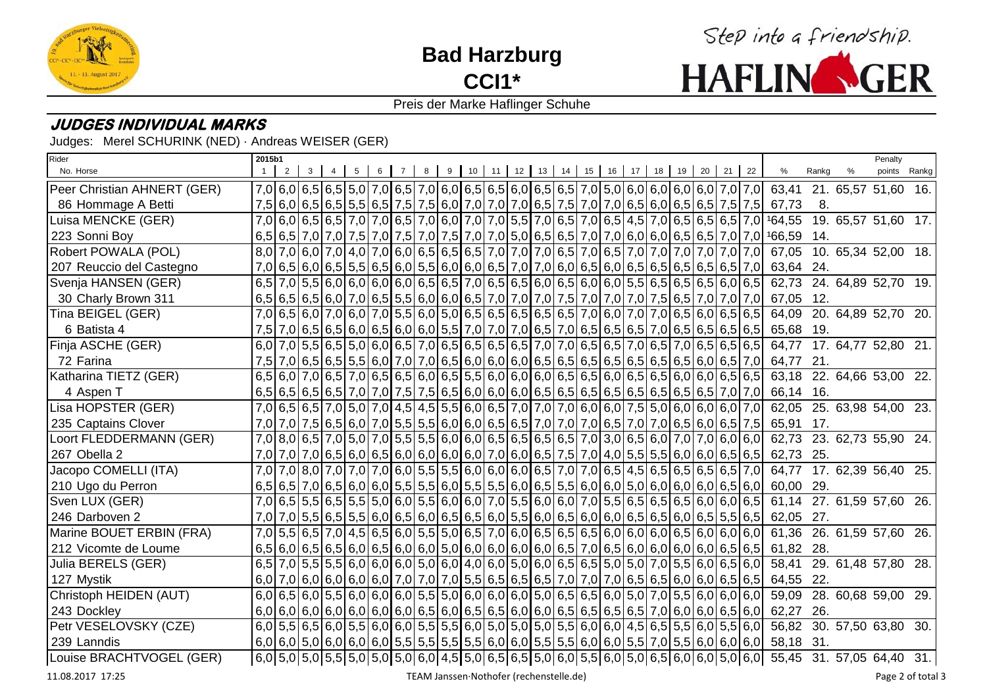

**Bad Harzburg CCI1\***



### Preis der Marke Haflinger Schuhe

## **JUDGES INDIVIDUAL MARKS**

Judges: Merel SCHURINK (NED) · Andreas WEISER (GER)

| Rider                       | 2015b1 |   |   |   |   |   |          |                                                                                                     |  |  |  |  |                                  |  |                                                                                                                         |       | Penalty                   |  |
|-----------------------------|--------|---|---|---|---|---|----------|-----------------------------------------------------------------------------------------------------|--|--|--|--|----------------------------------|--|-------------------------------------------------------------------------------------------------------------------------|-------|---------------------------|--|
| No. Horse                   |        | 2 | 3 | 5 | 6 | 8 | $9 \mid$ | $10$ 11                                                                                             |  |  |  |  | 12 13 14 15 16 17 18 19 20 21 22 |  | %                                                                                                                       | Rankg | points Rankg              |  |
| Peer Christian AHNERT (GER) |        |   |   |   |   |   |          |                                                                                                     |  |  |  |  |                                  |  | 7,0 6,0 6,5 6,5 5,0 7,0 6,5 7,0 6,0 6,5 6,5 6,0 6,5 6,5 7,0 5,0 6,0 6,0 6,0 6,0 7,0 7,0 63,41 21 65,57 51,60            |       |                           |  |
| 86 Hommage A Betti          |        |   |   |   |   |   |          |                                                                                                     |  |  |  |  |                                  |  | 7,5 6,0 6,5 6,5 6,5 6,5 6,5 7,5 7,5 6,0 7,0 7,0 7,0 6,5 7,5 7,0 7,0 6,5 6,0 6,5 6,0 6,5 7,5 7,5 67,73                   | 8.    |                           |  |
| Luisa MENCKE (GER)          |        |   |   |   |   |   |          |                                                                                                     |  |  |  |  |                                  |  | 7,0 6,0 6,5 6,5 7,0 7,0 6,5 7,0 6,0 7,0 7,0 5,5 7,0 6,5 7,0 6,5 4,5 7,0 6,5 6,5 6,5 7,0 164,55 19. 65,57 51,60          |       |                           |  |
| 223 Sonni Boy               |        |   |   |   |   |   |          |                                                                                                     |  |  |  |  |                                  |  | $6,5 6,5 7,0 7,0 7,5 7,0 7,5 7,0 7,5 7,0 7,0 5,0 6,5 6,5 7,0 7,0 6,0 6,0 6,5 6,5 7,0 7,0 6,59$ 14.                      |       |                           |  |
| Robert POWALA (POL)         |        |   |   |   |   |   |          | 8,0 7,0 6,0 7,0 4,0 7,0 6,0 6,5 6,5 6,5 7,0 7,0 7,0 6,5 7,0 6,5 7,0 7,0 7,0 7,0 7,0 7,0 7,0 7,0     |  |  |  |  |                                  |  |                                                                                                                         |       | 67,05 10 65,34 52,00 18.  |  |
| 207 Reuccio del Castegno    |        |   |   |   |   |   |          | 7,0 6,5 6,5 6,0 6,5 5,5 6,5 6,0 5,5 6,0 6,0 6,0 6,5 7,0 7,0 6,0 6,5 6,0 6,5 6,5 6,5 6,5 6,5 6,5 7,0 |  |  |  |  |                                  |  | 63,64 24.                                                                                                               |       |                           |  |
| Svenja HANSEN (GER)         |        |   |   |   |   |   |          |                                                                                                     |  |  |  |  |                                  |  | 6,5 7,0 5,5 6,0 6,0 6,0 6,0 6,0 6,5 6,5 7,0 6,5 6,5 6,0 6,5 6,0 6,0 5,5 6,5 6,5 6,5 6,0 6,5 62,73 24 64,89 52,70 19.    |       |                           |  |
| 30 Charly Brown 311         |        |   |   |   |   |   |          |                                                                                                     |  |  |  |  |                                  |  | $6,5 6,5 6,0 7,0 6,5 5,5 6,0 6,0 6,0 7,0 7,0 7,0 7,5 7,0 7,0 7,0 7,5 6,5 7,0 7,0 7,0 67,05 12.$                         |       |                           |  |
| Tina BEIGEL (GER)           |        |   |   |   |   |   |          | 7,0 6,5 6,0 7,0 6,0 7,0 5,5 6,0 5,0 6,5 6,5 6,5 6,5 6,5 7,0 6,0 7,0 7,0 6,5 6,0 6,5 6,5 6,5         |  |  |  |  |                                  |  |                                                                                                                         |       | 64,09 20. 64,89 52,70 20. |  |
| 6 Batista 4                 |        |   |   |   |   |   |          |                                                                                                     |  |  |  |  |                                  |  | $7,5$  7,0 6,5 6,5 6,0 6,5 6,0 6,0 5,5 7,0 7,0 7,0 6,5 7,0 6,5 6,5 6,5 7,0 6,5 6,5 6,5 6,5 6,5 6568 19.                 |       |                           |  |
| Finja ASCHE (GER)           |        |   |   |   |   |   |          |                                                                                                     |  |  |  |  |                                  |  | $6,0 7,0 5,5 6,5 5,0 6,0 6,5 7,0 6,5 6,5 6,5 6,5 7,0 7,0 6,5 6,5 7,0 6,5 7,0 6,5 6,5 6,5 6,77$ 17. 64,77 52,80 21.      |       |                           |  |
| 72 Farina                   |        |   |   |   |   |   |          | 7,5 7,0 6,5 6,5 5,5 6,0 7,0 7,0 6,5 6,0 6,0 6,0 6,5 6,5 6,5 6,5 6,5 6,5 6,5 6,5 6,6 6,0 6,5 7,0     |  |  |  |  |                                  |  | 64,77 21.                                                                                                               |       |                           |  |
| Katharina TIETZ (GER)       |        |   |   |   |   |   |          | $6,5 6,0 7,0 6,5 7,0 6,5 6,5 6,0 6,5 5,5 6,0 6,0 6,0 6,5 6,5 6,0 6,5 6,0 6,0 6,5 6,5 6,5 6,5 $      |  |  |  |  |                                  |  |                                                                                                                         |       | 63,18 22. 64,66 53,00 22. |  |
| 4 Aspen T                   |        |   |   |   |   |   |          |                                                                                                     |  |  |  |  |                                  |  | 66,14 16.                                                                                                               |       |                           |  |
| Lisa HOPSTER (GER)          |        |   |   |   |   |   |          | 7,0 6,5 6,5 7,0 5,0 7,0 4,5 4,5 5,5 6,0 6,5 7,0 7,0 7,0 6,0 6,0 7,5 5,0 6,0 6,0 6,0 7,0             |  |  |  |  |                                  |  |                                                                                                                         |       | 62,05 25. 63,98 54,00 23. |  |
| 235 Captains Clover         |        |   |   |   |   |   |          |                                                                                                     |  |  |  |  |                                  |  | 7,0 7,0 6,5 6,5 6,6 7,0 5,5 6,0 7,0 6,5 6,0 6,0 6,6 6,5 7,0 7,0 7,0 6,5 7,0 7,0 6,5 6,0 6,5 7,5 65,91 17.               |       |                           |  |
| Loort FLEDDERMANN (GER)     |        |   |   |   |   |   |          |                                                                                                     |  |  |  |  |                                  |  | 7,0 8,0 6,5 7,0 5,0 7,0 5,5 5,5 6,0 6,0 6,0 6,5 6,5 6,5 7,0 3,0 6,5 6,0 7,0 7,0 6,0 6,0 62,73 23 62,73 55,90 24.        |       |                           |  |
| 267 Obella 2                |        |   |   |   |   |   |          |                                                                                                     |  |  |  |  |                                  |  | $7,0 7,0 7,0 6,5 6,0 6,5 6,0 6,0 6,0 6,0 7,0 6,0 6,5 7,5 7,0 4,0 5,5 5,5 6,0 6,0 6,5 6,5 62,73$ 25.                     |       |                           |  |
| Jacopo COMELLI (ITA)        |        |   |   |   |   |   |          | 7,0 7,0 8,0 7,0 7,0 7,0 7,0 6,0 5,5 5,5 6,0 6,0 6,0 6,0 6,5 7,0 7,0 6,5 4,5 6,5 6,5 6,5 6,5 6,5 7,0 |  |  |  |  |                                  |  |                                                                                                                         |       | 64,77 17 62,39 56,40 25.  |  |
| 210 Ugo du Perron           |        |   |   |   |   |   |          |                                                                                                     |  |  |  |  |                                  |  | $6,5 6,5 7,0 6,5 6,0 6,0 5,5 5,5 6,0 5,5 5,5 6,0 6,5 5,5 6,0 6,0 5,0 6,0 6,0 6,0 6,5 6,0 6,00$                          |       |                           |  |
| Sven LUX (GER)              |        |   |   |   |   |   |          |                                                                                                     |  |  |  |  |                                  |  | 7,0 6,5 5,5 6,5 5,5 5,0 6,0 5,5 6,0 6,0 7,0 5,5 6,0 6,0 7,0 5,5 6,5 6,5 6,5 6,0 6,0 6,0 6,5 61,14 27 61,59 57,60 26     |       |                           |  |
| 246 Darboven 2              |        |   |   |   |   |   |          |                                                                                                     |  |  |  |  |                                  |  | 7,0 7,0 5,5 6,5 5,5 6,0 6,5 6,0 6,5 6,0 6,5 6,0 5,5 6,0 6,5 6,0 6,0 6,5 6,6 6,6 6,0 6,5 5,5 6,5 62,05 27.               |       |                           |  |
| Marine BOUET ERBIN (FRA)    |        |   |   |   |   |   |          |                                                                                                     |  |  |  |  |                                  |  | 7,0 5,5 6,5 7,0 4,5 6,5 6,0 5,5 5,0 6,5 7,0 6,0 6,5 6,5 6,5 6,0 6,0 6,0 6,0 6,0 6,0 6,0 6,0 61,36 26 61,59 57,60        |       |                           |  |
| 212 Vicomte de Loume        |        |   |   |   |   |   |          |                                                                                                     |  |  |  |  |                                  |  | $6,5 6,0 6,5 6,5 6,0 6,5 6,0 6,0 5,0 6,0 6,0 6,0 6,0 6,5 7,0 6,5 6,0 6,0 6,0 6,0 6,5 6,5 6,5 6,28.$                     |       |                           |  |
| Julia BERELS (GER)          |        |   |   |   |   |   |          |                                                                                                     |  |  |  |  |                                  |  | $6,5$  7,0 5,5 5,5 6,0 6,0 6,0 5,0 6,0 4,0 6,0 5,0 6,0 6,5 6,5 5,0 5,0 7,0 5,5 6,0 6,5 6,0  58,41                       |       | 29. 61,48 57,80 28.       |  |
| 127 Mystik                  |        |   |   |   |   |   |          |                                                                                                     |  |  |  |  |                                  |  | 64,55 22.                                                                                                               |       |                           |  |
| Christoph HEIDEN (AUT)      |        |   |   |   |   |   |          |                                                                                                     |  |  |  |  |                                  |  |                                                                                                                         |       | 59,09 28 60,68 59,00 29.  |  |
| 243 Dockley                 |        |   |   |   |   |   |          |                                                                                                     |  |  |  |  |                                  |  | $6,0 6,0 6,0 6,0 6,0 6,0 6,0 6,5 6,0 6,5 6,5 6,0 6,0 6,5 6,5 6,5 7,0 6,0 6,0 6,5 6,0 6,2,27$ 26.                        |       |                           |  |
| Petr VESELOVSKY (CZE)       |        |   |   |   |   |   |          | $6,0 5,5 6,5 6,0 5,5 6,0 6,0 5,5 5,5 6,0 5,0 5,0 5,0 5,5 6,0 6,0 4,5 6,5 5,5 6,0 5,5 6,0 $          |  |  |  |  |                                  |  |                                                                                                                         |       | 56,82 30. 57,50 63,80 30. |  |
| 239 Lanndis                 |        |   |   |   |   |   |          |                                                                                                     |  |  |  |  |                                  |  | $6,0 6,0 5,0 6,0 6,0 6,0 5,5 5,5 5,5 5,5 6,0 6,0 5,5 5,5 6,0 6,0 5,5 7,0 5,5 6,0 6,0 6,0 58,18$ 31.                     |       |                           |  |
| Louise BRACHTVOGEL (GER)    |        |   |   |   |   |   |          |                                                                                                     |  |  |  |  |                                  |  | $6,0 5,0 5,0 5,5 5,0 5,0 5,0 6,0 4,5 5,0 6,5 6,5 5,0 6,0 5,5 6,0 5,0 6,5 6,0 5,0 6,0 5,0 6,0;55,45$ 31. 57,05 64,40 31. |       |                           |  |